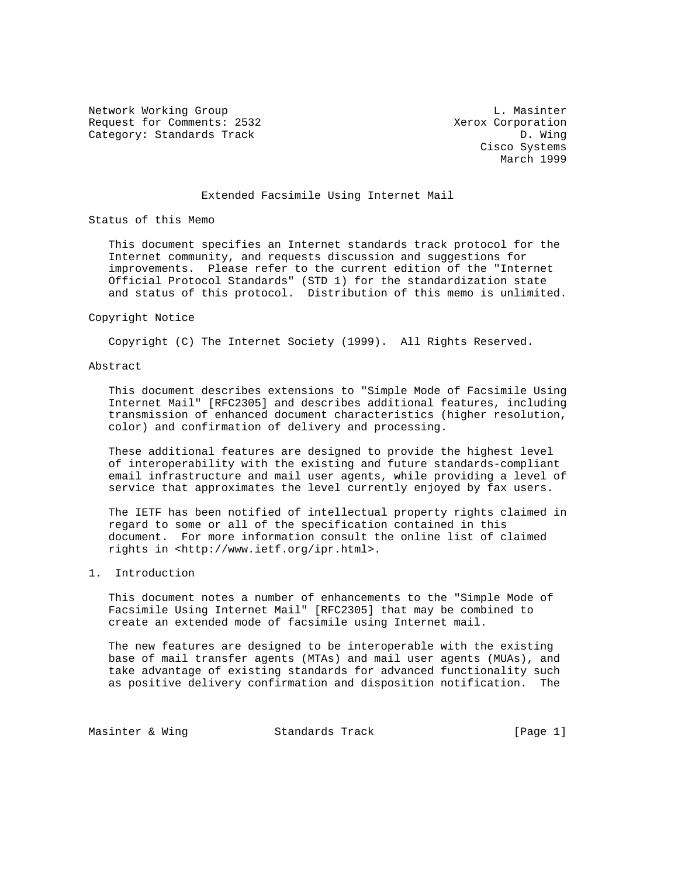Network Working Group and the contract of the U. Massinter Request for Comments: 2532 Xerox Corporation Category: Standards Track D. Wing

 Cisco Systems March 1999

# Extended Facsimile Using Internet Mail

Status of this Memo

 This document specifies an Internet standards track protocol for the Internet community, and requests discussion and suggestions for improvements. Please refer to the current edition of the "Internet Official Protocol Standards" (STD 1) for the standardization state and status of this protocol. Distribution of this memo is unlimited.

#### Copyright Notice

Copyright (C) The Internet Society (1999). All Rights Reserved.

#### Abstract

 This document describes extensions to "Simple Mode of Facsimile Using Internet Mail" [RFC2305] and describes additional features, including transmission of enhanced document characteristics (higher resolution, color) and confirmation of delivery and processing.

 These additional features are designed to provide the highest level of interoperability with the existing and future standards-compliant email infrastructure and mail user agents, while providing a level of service that approximates the level currently enjoyed by fax users.

 The IETF has been notified of intellectual property rights claimed in regard to some or all of the specification contained in this document. For more information consult the online list of claimed rights in <http://www.ietf.org/ipr.html>.

#### 1. Introduction

 This document notes a number of enhancements to the "Simple Mode of Facsimile Using Internet Mail" [RFC2305] that may be combined to create an extended mode of facsimile using Internet mail.

 The new features are designed to be interoperable with the existing base of mail transfer agents (MTAs) and mail user agents (MUAs), and take advantage of existing standards for advanced functionality such as positive delivery confirmation and disposition notification. The

Masinter & Wing Standards Track [Page 1]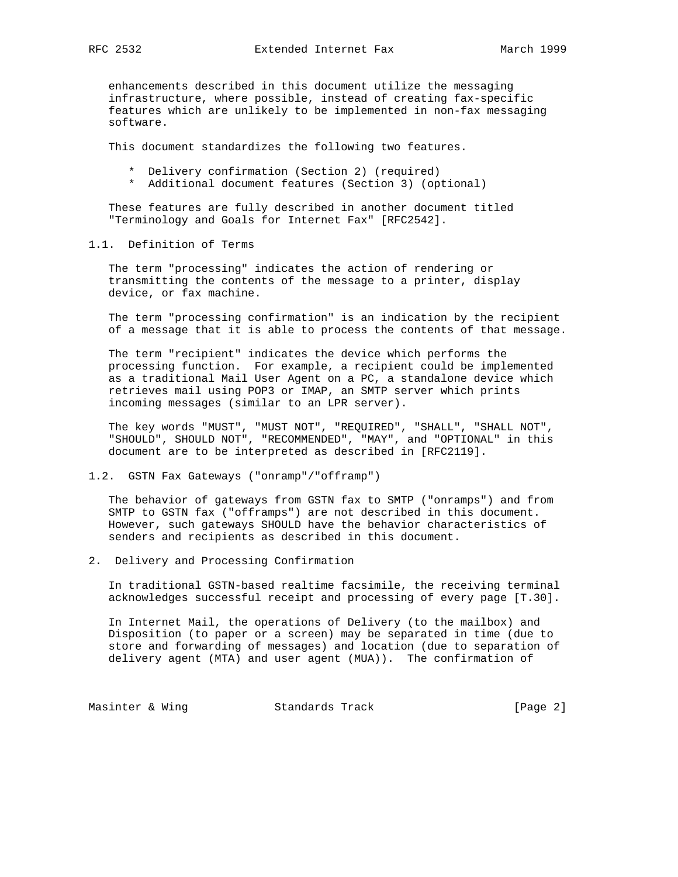enhancements described in this document utilize the messaging infrastructure, where possible, instead of creating fax-specific features which are unlikely to be implemented in non-fax messaging software.

This document standardizes the following two features.

- \* Delivery confirmation (Section 2) (required)
- \* Additional document features (Section 3) (optional)

 These features are fully described in another document titled "Terminology and Goals for Internet Fax" [RFC2542].

# 1.1. Definition of Terms

 The term "processing" indicates the action of rendering or transmitting the contents of the message to a printer, display device, or fax machine.

 The term "processing confirmation" is an indication by the recipient of a message that it is able to process the contents of that message.

 The term "recipient" indicates the device which performs the processing function. For example, a recipient could be implemented as a traditional Mail User Agent on a PC, a standalone device which retrieves mail using POP3 or IMAP, an SMTP server which prints incoming messages (similar to an LPR server).

 The key words "MUST", "MUST NOT", "REQUIRED", "SHALL", "SHALL NOT", "SHOULD", SHOULD NOT", "RECOMMENDED", "MAY", and "OPTIONAL" in this document are to be interpreted as described in [RFC2119].

## 1.2. GSTN Fax Gateways ("onramp"/"offramp")

 The behavior of gateways from GSTN fax to SMTP ("onramps") and from SMTP to GSTN fax ("offramps") are not described in this document. However, such gateways SHOULD have the behavior characteristics of senders and recipients as described in this document.

# 2. Delivery and Processing Confirmation

 In traditional GSTN-based realtime facsimile, the receiving terminal acknowledges successful receipt and processing of every page [T.30].

 In Internet Mail, the operations of Delivery (to the mailbox) and Disposition (to paper or a screen) may be separated in time (due to store and forwarding of messages) and location (due to separation of delivery agent (MTA) and user agent (MUA)). The confirmation of

Masinter & Wing **Standards Track** [Page 2]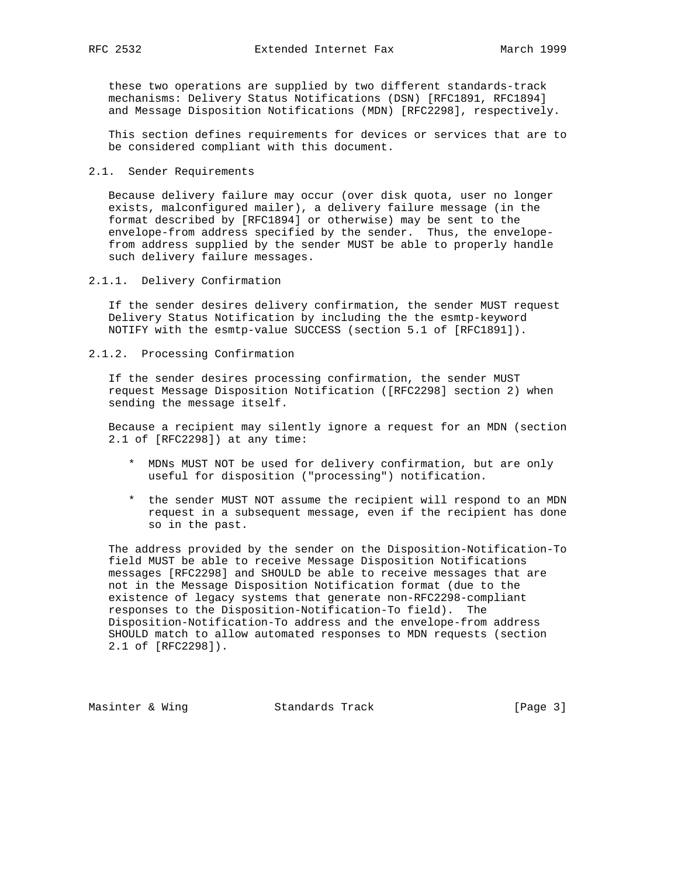these two operations are supplied by two different standards-track mechanisms: Delivery Status Notifications (DSN) [RFC1891, RFC1894] and Message Disposition Notifications (MDN) [RFC2298], respectively.

 This section defines requirements for devices or services that are to be considered compliant with this document.

#### 2.1. Sender Requirements

 Because delivery failure may occur (over disk quota, user no longer exists, malconfigured mailer), a delivery failure message (in the format described by [RFC1894] or otherwise) may be sent to the envelope-from address specified by the sender. Thus, the envelope from address supplied by the sender MUST be able to properly handle such delivery failure messages.

2.1.1. Delivery Confirmation

 If the sender desires delivery confirmation, the sender MUST request Delivery Status Notification by including the the esmtp-keyword NOTIFY with the esmtp-value SUCCESS (section 5.1 of [RFC1891]).

2.1.2. Processing Confirmation

 If the sender desires processing confirmation, the sender MUST request Message Disposition Notification ([RFC2298] section 2) when sending the message itself.

 Because a recipient may silently ignore a request for an MDN (section 2.1 of [RFC2298]) at any time:

- \* MDNs MUST NOT be used for delivery confirmation, but are only useful for disposition ("processing") notification.
- \* the sender MUST NOT assume the recipient will respond to an MDN request in a subsequent message, even if the recipient has done so in the past.

 The address provided by the sender on the Disposition-Notification-To field MUST be able to receive Message Disposition Notifications messages [RFC2298] and SHOULD be able to receive messages that are not in the Message Disposition Notification format (due to the existence of legacy systems that generate non-RFC2298-compliant responses to the Disposition-Notification-To field). The Disposition-Notification-To address and the envelope-from address SHOULD match to allow automated responses to MDN requests (section 2.1 of [RFC2298]).

Masinter & Wing Standards Track [Page 3]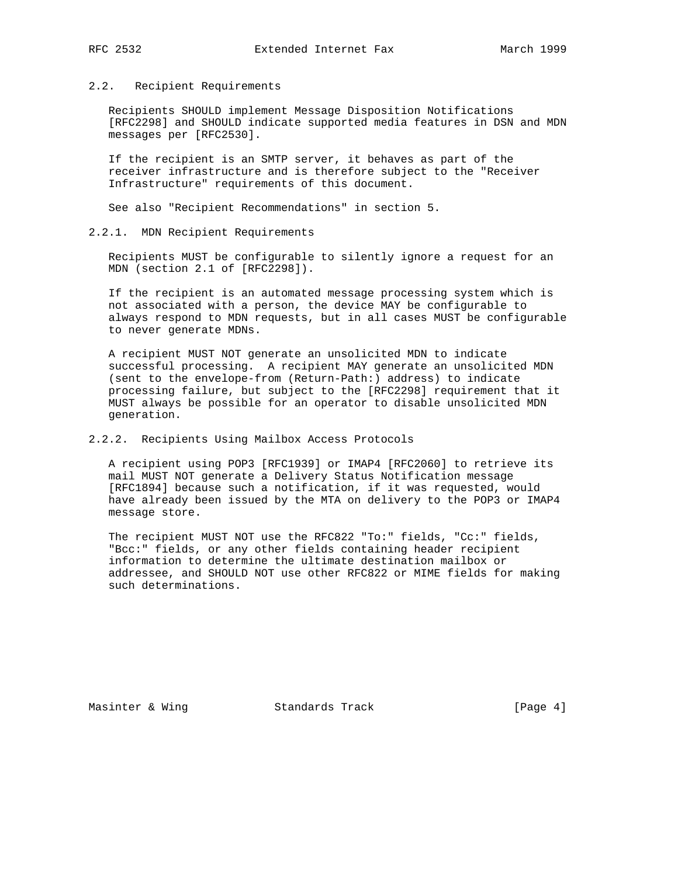## 2.2. Recipient Requirements

 Recipients SHOULD implement Message Disposition Notifications [RFC2298] and SHOULD indicate supported media features in DSN and MDN messages per [RFC2530].

 If the recipient is an SMTP server, it behaves as part of the receiver infrastructure and is therefore subject to the "Receiver Infrastructure" requirements of this document.

See also "Recipient Recommendations" in section 5.

# 2.2.1. MDN Recipient Requirements

 Recipients MUST be configurable to silently ignore a request for an MDN (section 2.1 of [RFC2298]).

 If the recipient is an automated message processing system which is not associated with a person, the device MAY be configurable to always respond to MDN requests, but in all cases MUST be configurable to never generate MDNs.

 A recipient MUST NOT generate an unsolicited MDN to indicate successful processing. A recipient MAY generate an unsolicited MDN (sent to the envelope-from (Return-Path:) address) to indicate processing failure, but subject to the [RFC2298] requirement that it MUST always be possible for an operator to disable unsolicited MDN generation.

2.2.2. Recipients Using Mailbox Access Protocols

 A recipient using POP3 [RFC1939] or IMAP4 [RFC2060] to retrieve its mail MUST NOT generate a Delivery Status Notification message [RFC1894] because such a notification, if it was requested, would have already been issued by the MTA on delivery to the POP3 or IMAP4 message store.

 The recipient MUST NOT use the RFC822 "To:" fields, "Cc:" fields, "Bcc:" fields, or any other fields containing header recipient information to determine the ultimate destination mailbox or addressee, and SHOULD NOT use other RFC822 or MIME fields for making such determinations.

Masinter & Wing Standards Track [Page 4]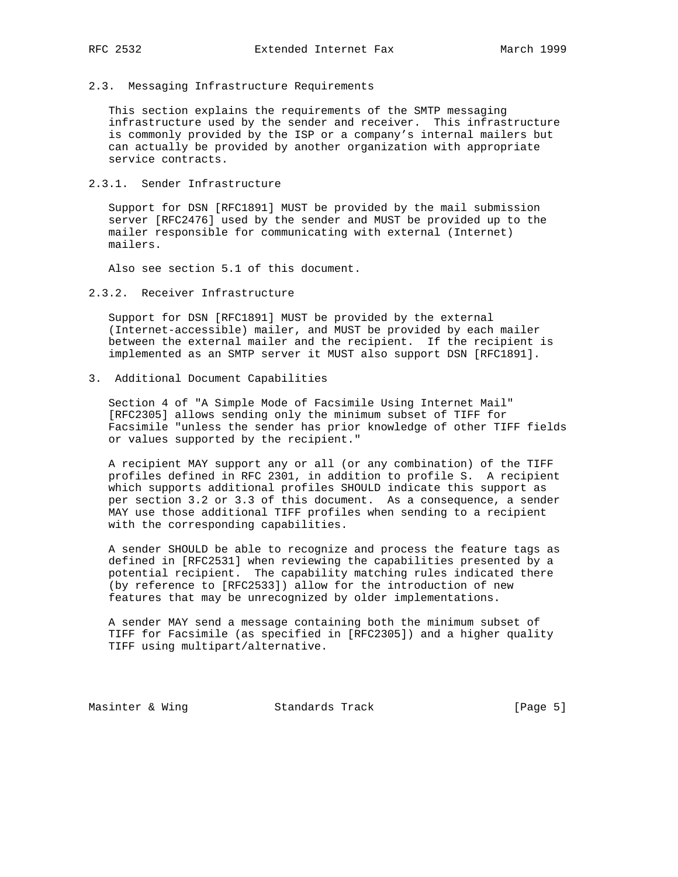#### 2.3. Messaging Infrastructure Requirements

 This section explains the requirements of the SMTP messaging infrastructure used by the sender and receiver. This infrastructure is commonly provided by the ISP or a company's internal mailers but can actually be provided by another organization with appropriate service contracts.

# 2.3.1. Sender Infrastructure

 Support for DSN [RFC1891] MUST be provided by the mail submission server [RFC2476] used by the sender and MUST be provided up to the mailer responsible for communicating with external (Internet) mailers.

Also see section 5.1 of this document.

# 2.3.2. Receiver Infrastructure

 Support for DSN [RFC1891] MUST be provided by the external (Internet-accessible) mailer, and MUST be provided by each mailer between the external mailer and the recipient. If the recipient is implemented as an SMTP server it MUST also support DSN [RFC1891].

# 3. Additional Document Capabilities

 Section 4 of "A Simple Mode of Facsimile Using Internet Mail" [RFC2305] allows sending only the minimum subset of TIFF for Facsimile "unless the sender has prior knowledge of other TIFF fields or values supported by the recipient."

 A recipient MAY support any or all (or any combination) of the TIFF profiles defined in RFC 2301, in addition to profile S. A recipient which supports additional profiles SHOULD indicate this support as per section 3.2 or 3.3 of this document. As a consequence, a sender MAY use those additional TIFF profiles when sending to a recipient with the corresponding capabilities.

 A sender SHOULD be able to recognize and process the feature tags as defined in [RFC2531] when reviewing the capabilities presented by a potential recipient. The capability matching rules indicated there (by reference to [RFC2533]) allow for the introduction of new features that may be unrecognized by older implementations.

 A sender MAY send a message containing both the minimum subset of TIFF for Facsimile (as specified in [RFC2305]) and a higher quality TIFF using multipart/alternative.

Masinter & Wing Standards Track [Page 5]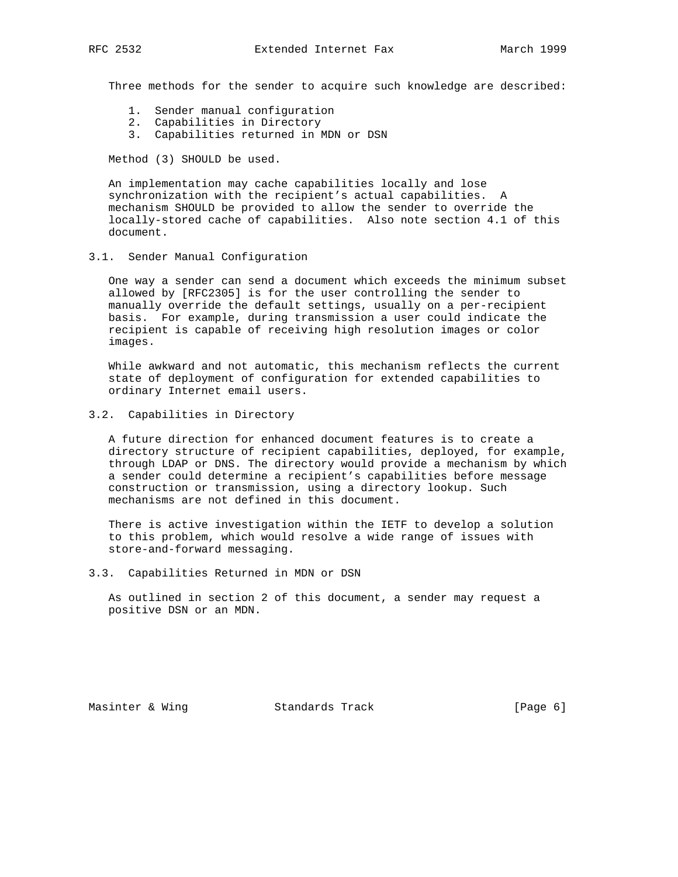Three methods for the sender to acquire such knowledge are described:

- 1. Sender manual configuration
- 2. Capabilities in Directory
- 3. Capabilities returned in MDN or DSN

Method (3) SHOULD be used.

 An implementation may cache capabilities locally and lose synchronization with the recipient's actual capabilities. A mechanism SHOULD be provided to allow the sender to override the locally-stored cache of capabilities. Also note section 4.1 of this document.

3.1. Sender Manual Configuration

 One way a sender can send a document which exceeds the minimum subset allowed by [RFC2305] is for the user controlling the sender to manually override the default settings, usually on a per-recipient basis. For example, during transmission a user could indicate the recipient is capable of receiving high resolution images or color images.

 While awkward and not automatic, this mechanism reflects the current state of deployment of configuration for extended capabilities to ordinary Internet email users.

3.2. Capabilities in Directory

 A future direction for enhanced document features is to create a directory structure of recipient capabilities, deployed, for example, through LDAP or DNS. The directory would provide a mechanism by which a sender could determine a recipient's capabilities before message construction or transmission, using a directory lookup. Such mechanisms are not defined in this document.

 There is active investigation within the IETF to develop a solution to this problem, which would resolve a wide range of issues with store-and-forward messaging.

3.3. Capabilities Returned in MDN or DSN

 As outlined in section 2 of this document, a sender may request a positive DSN or an MDN.

Masinter & Wing **Standards Track** [Page 6]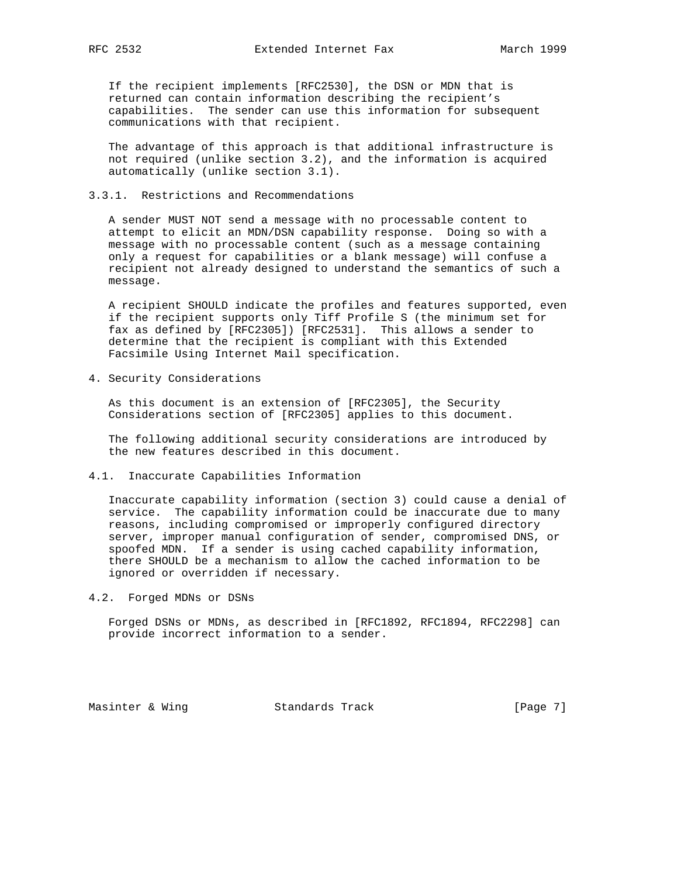If the recipient implements [RFC2530], the DSN or MDN that is returned can contain information describing the recipient's capabilities. The sender can use this information for subsequent communications with that recipient.

 The advantage of this approach is that additional infrastructure is not required (unlike section 3.2), and the information is acquired automatically (unlike section 3.1).

# 3.3.1. Restrictions and Recommendations

 A sender MUST NOT send a message with no processable content to attempt to elicit an MDN/DSN capability response. Doing so with a message with no processable content (such as a message containing only a request for capabilities or a blank message) will confuse a recipient not already designed to understand the semantics of such a message.

 A recipient SHOULD indicate the profiles and features supported, even if the recipient supports only Tiff Profile S (the minimum set for fax as defined by [RFC2305]) [RFC2531]. This allows a sender to determine that the recipient is compliant with this Extended Facsimile Using Internet Mail specification.

4. Security Considerations

 As this document is an extension of [RFC2305], the Security Considerations section of [RFC2305] applies to this document.

 The following additional security considerations are introduced by the new features described in this document.

4.1. Inaccurate Capabilities Information

 Inaccurate capability information (section 3) could cause a denial of service. The capability information could be inaccurate due to many reasons, including compromised or improperly configured directory server, improper manual configuration of sender, compromised DNS, or spoofed MDN. If a sender is using cached capability information, there SHOULD be a mechanism to allow the cached information to be ignored or overridden if necessary.

4.2. Forged MDNs or DSNs

 Forged DSNs or MDNs, as described in [RFC1892, RFC1894, RFC2298] can provide incorrect information to a sender.

Masinter & Wing Standards Track [Page 7]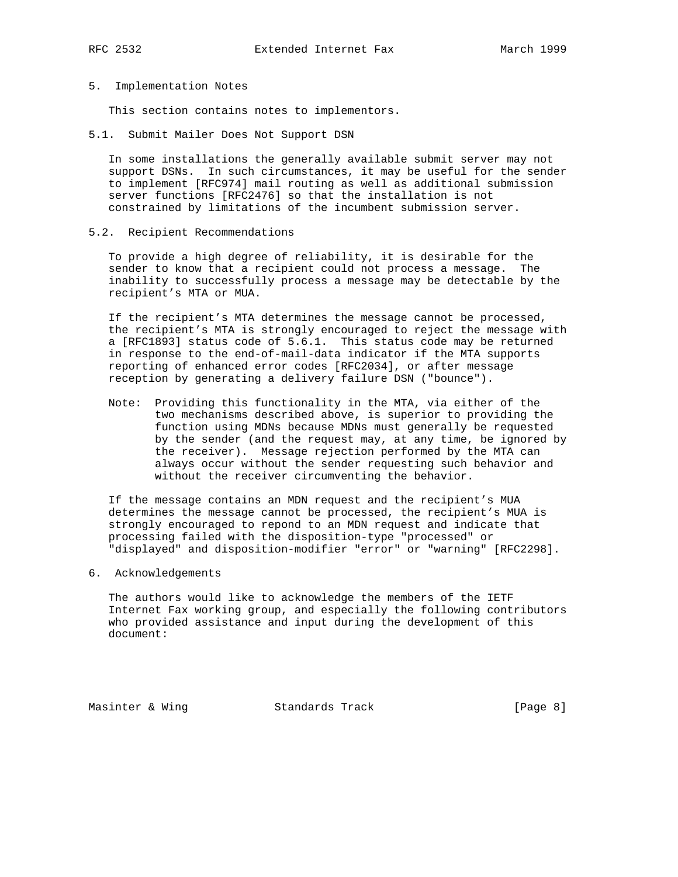#### 5. Implementation Notes

This section contains notes to implementors.

5.1. Submit Mailer Does Not Support DSN

 In some installations the generally available submit server may not support DSNs. In such circumstances, it may be useful for the sender to implement [RFC974] mail routing as well as additional submission server functions [RFC2476] so that the installation is not constrained by limitations of the incumbent submission server.

5.2. Recipient Recommendations

 To provide a high degree of reliability, it is desirable for the sender to know that a recipient could not process a message. The inability to successfully process a message may be detectable by the recipient's MTA or MUA.

 If the recipient's MTA determines the message cannot be processed, the recipient's MTA is strongly encouraged to reject the message with a [RFC1893] status code of 5.6.1. This status code may be returned in response to the end-of-mail-data indicator if the MTA supports reporting of enhanced error codes [RFC2034], or after message reception by generating a delivery failure DSN ("bounce").

 Note: Providing this functionality in the MTA, via either of the two mechanisms described above, is superior to providing the function using MDNs because MDNs must generally be requested by the sender (and the request may, at any time, be ignored by the receiver). Message rejection performed by the MTA can always occur without the sender requesting such behavior and without the receiver circumventing the behavior.

 If the message contains an MDN request and the recipient's MUA determines the message cannot be processed, the recipient's MUA is strongly encouraged to repond to an MDN request and indicate that processing failed with the disposition-type "processed" or "displayed" and disposition-modifier "error" or "warning" [RFC2298].

6. Acknowledgements

 The authors would like to acknowledge the members of the IETF Internet Fax working group, and especially the following contributors who provided assistance and input during the development of this document:

Masinter & Wing Standards Track [Page 8]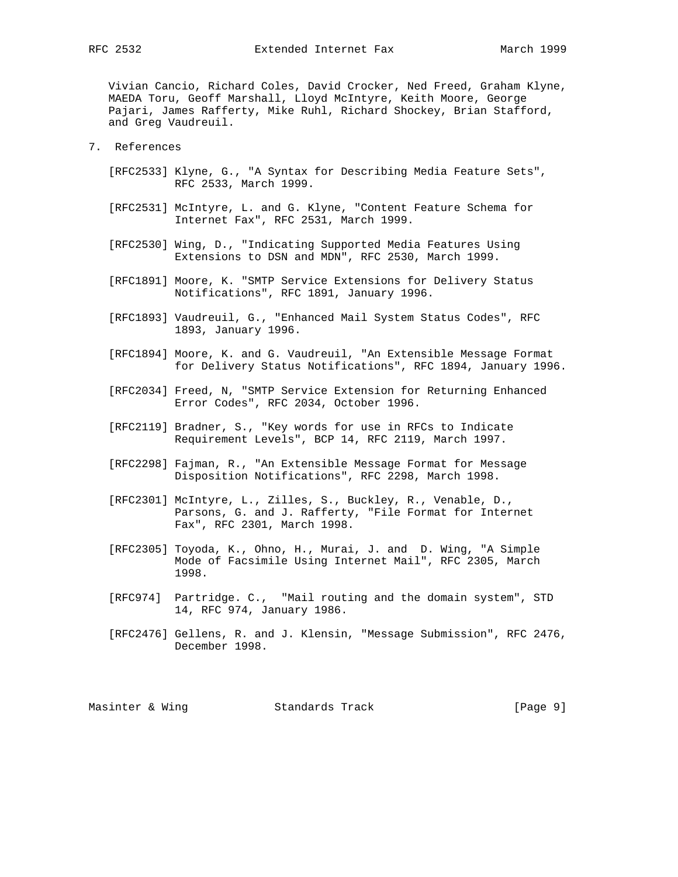Vivian Cancio, Richard Coles, David Crocker, Ned Freed, Graham Klyne, MAEDA Toru, Geoff Marshall, Lloyd McIntyre, Keith Moore, George Pajari, James Rafferty, Mike Ruhl, Richard Shockey, Brian Stafford, and Greg Vaudreuil.

- 7. References
	- [RFC2533] Klyne, G., "A Syntax for Describing Media Feature Sets", RFC 2533, March 1999.
	- [RFC2531] McIntyre, L. and G. Klyne, "Content Feature Schema for Internet Fax", RFC 2531, March 1999.
	- [RFC2530] Wing, D., "Indicating Supported Media Features Using Extensions to DSN and MDN", RFC 2530, March 1999.
	- [RFC1891] Moore, K. "SMTP Service Extensions for Delivery Status Notifications", RFC 1891, January 1996.
	- [RFC1893] Vaudreuil, G., "Enhanced Mail System Status Codes", RFC 1893, January 1996.
	- [RFC1894] Moore, K. and G. Vaudreuil, "An Extensible Message Format for Delivery Status Notifications", RFC 1894, January 1996.
	- [RFC2034] Freed, N, "SMTP Service Extension for Returning Enhanced Error Codes", RFC 2034, October 1996.
	- [RFC2119] Bradner, S., "Key words for use in RFCs to Indicate Requirement Levels", BCP 14, RFC 2119, March 1997.
	- [RFC2298] Fajman, R., "An Extensible Message Format for Message Disposition Notifications", RFC 2298, March 1998.
	- [RFC2301] McIntyre, L., Zilles, S., Buckley, R., Venable, D., Parsons, G. and J. Rafferty, "File Format for Internet Fax", RFC 2301, March 1998.
	- [RFC2305] Toyoda, K., Ohno, H., Murai, J. and D. Wing, "A Simple Mode of Facsimile Using Internet Mail", RFC 2305, March 1998.
	- [RFC974] Partridge. C., "Mail routing and the domain system", STD 14, RFC 974, January 1986.
	- [RFC2476] Gellens, R. and J. Klensin, "Message Submission", RFC 2476, December 1998.

Masinter & Wing Standards Track [Page 9]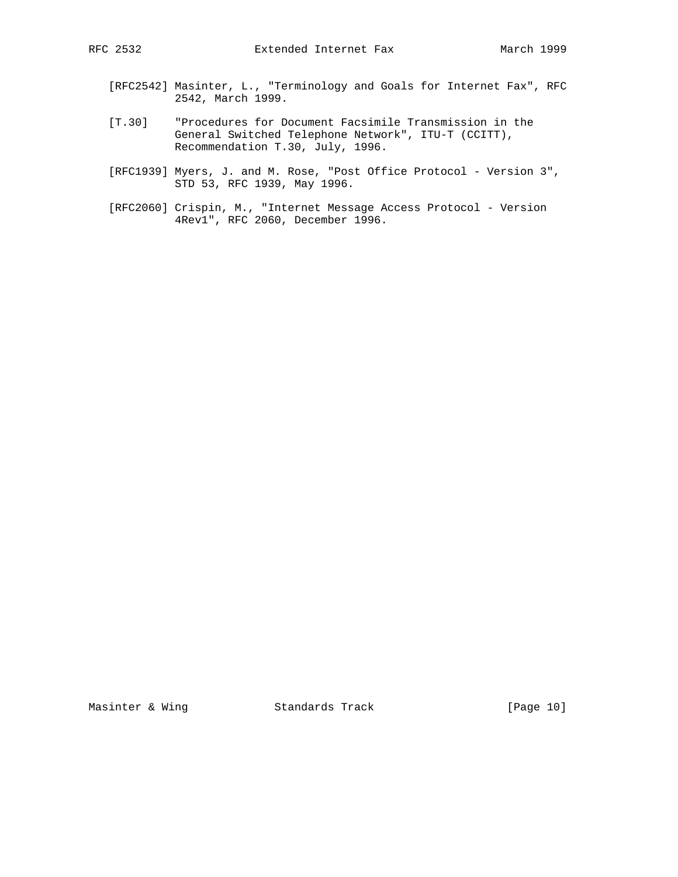- [RFC2542] Masinter, L., "Terminology and Goals for Internet Fax", RFC 2542, March 1999.
- [T.30] "Procedures for Document Facsimile Transmission in the General Switched Telephone Network", ITU-T (CCITT), Recommendation T.30, July, 1996.
- [RFC1939] Myers, J. and M. Rose, "Post Office Protocol Version 3", STD 53, RFC 1939, May 1996.
- [RFC2060] Crispin, M., "Internet Message Access Protocol Version 4Rev1", RFC 2060, December 1996.

Masinter & Wing Standards Track [Page 10]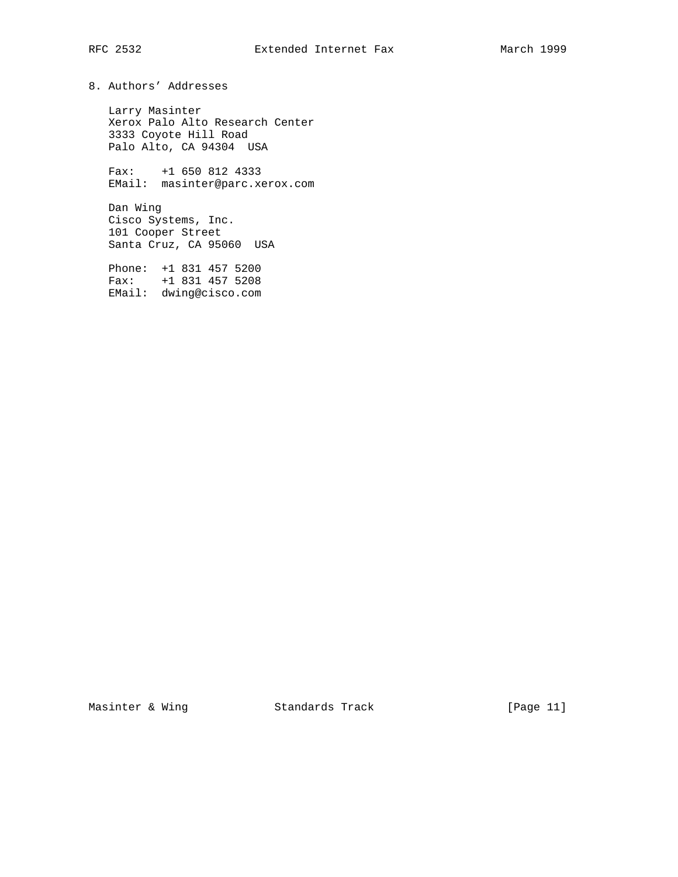8. Authors' Addresses

 Larry Masinter Xerox Palo Alto Research Center 3333 Coyote Hill Road Palo Alto, CA 94304 USA

 Fax: +1 650 812 4333 EMail: masinter@parc.xerox.com

 Dan Wing Cisco Systems, Inc. 101 Cooper Street Santa Cruz, CA 95060 USA

 Phone: +1 831 457 5200 Fax: +1 831 457 5208 EMail: dwing@cisco.com

Masinter & Wing **Standards Track** [Page 11]